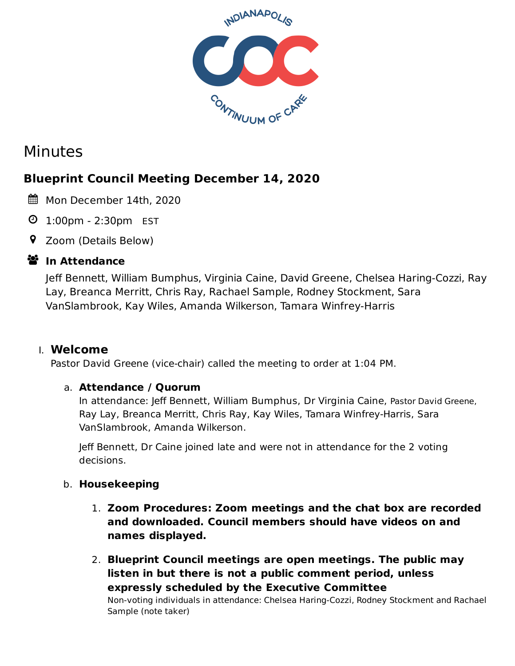

# Minutes

# **Blueprint Council Meeting December 14, 2020**

- Mon December 14th, 2020
- 1:00pm 2:30pm EST
- Zoom (Details Below)

# **ジ** In Attendance

Jeff Bennett, William Bumphus, Virginia Caine, David Greene, Chelsea Haring-Cozzi, Ray Lay, Breanca Merritt, Chris Ray, Rachael Sample, Rodney Stockment, Sara VanSlambrook, Kay Wiles, Amanda Wilkerson, Tamara Winfrey-Harris

# I. **Welcome**

Pastor David Greene (vice-chair) called the meeting to order at 1:04 PM.

### a. **Attendance / Quorum**

In attendance: Jeff Bennett, William Bumphus, Dr Virginia Caine, Pastor David Greene, Ray Lay, Breanca Merritt, Chris Ray, Kay Wiles, Tamara Winfrey-Harris, Sara VanSlambrook, Amanda Wilkerson.

Jeff Bennett, Dr Caine joined late and were not in attendance for the 2 voting decisions.

# b. **Housekeeping**

- 1. **Zoom Procedures: Zoom meetings and the chat box are recorded and downloaded. Council members should have videos on and names displayed.**
- 2. **Blueprint Council meetings are open meetings. The public may listen in but there is not a public comment period, unless expressly scheduled by the Executive Committee**

Non-voting individuals in attendance: Chelsea Haring-Cozzi, Rodney Stockment and Rachael Sample (note taker)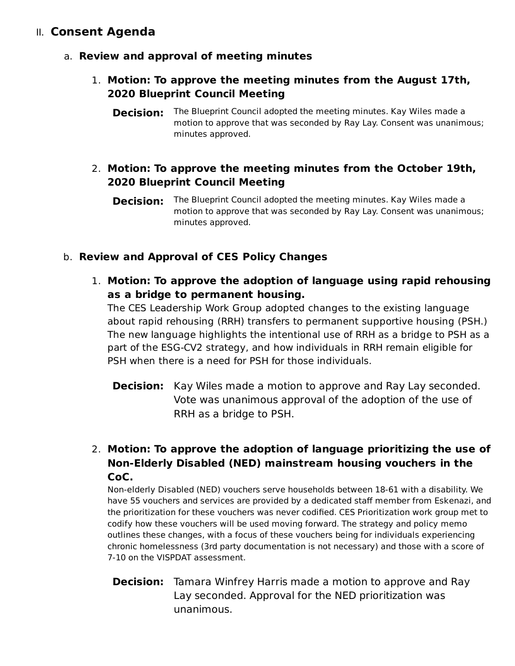# II. **Consent Agenda**

- a. **Review and approval of meeting minutes**
	- 1. **Motion: To approve the meeting minutes from the August 17th, 2020 Blueprint Council Meeting**
		- **Decision:** The Blueprint Council adopted the meeting minutes. Kay Wiles made a motion to approve that was seconded by Ray Lay. Consent was unanimous; minutes approved.

### 2. **Motion: To approve the meeting minutes from the October 19th, 2020 Blueprint Council Meeting**

**Decision:** The Blueprint Council adopted the meeting minutes. Kay Wiles made a motion to approve that was seconded by Ray Lay. Consent was unanimous; minutes approved.

### b. **Review and Approval of CES Policy Changes**

1. **Motion: To approve the adoption of language using rapid rehousing as a bridge to permanent housing.**

The CES Leadership Work Group adopted changes to the existing language about rapid rehousing (RRH) transfers to permanent supportive housing (PSH.) The new language highlights the intentional use of RRH as a bridge to PSH as a part of the ESG-CV2 strategy, and how individuals in RRH remain eligible for PSH when there is a need for PSH for those individuals.

**Decision:** Kay Wiles made a motion to approve and Ray Lay seconded. Vote was unanimous approval of the adoption of the use of RRH as a bridge to PSH.

# 2. **Motion: To approve the adoption of language prioritizing the use of Non-Elderly Disabled (NED) mainstream housing vouchers in the CoC.**

Non-elderly Disabled (NED) vouchers serve households between 18-61 with a disability. We have 55 vouchers and services are provided by a dedicated staff member from Eskenazi, and the prioritization for these vouchers was never codified. CES Prioritization work group met to codify how these vouchers will be used moving forward. The strategy and policy memo outlines these changes, with a focus of these vouchers being for individuals experiencing chronic homelessness (3rd party documentation is not necessary) and those with a score of 7-10 on the VISPDAT assessment.

**Decision:** Tamara Winfrey Harris made a motion to approve and Ray Lay seconded. Approval for the NED prioritization was unanimous.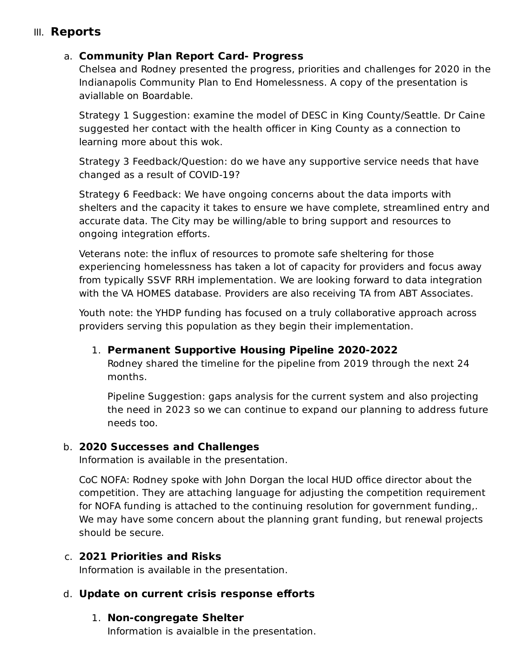# III. **Reports**

### a. **Community Plan Report Card- Progress**

Chelsea and Rodney presented the progress, priorities and challenges for 2020 in the Indianapolis Community Plan to End Homelessness. A copy of the presentation is aviallable on Boardable.

Strategy 1 Suggestion: examine the model of DESC in King County/Seattle. Dr Caine suggested her contact with the health officer in King County as a connection to learning more about this wok.

Strategy 3 Feedback/Question: do we have any supportive service needs that have changed as a result of COVID-19?

Strategy 6 Feedback: We have ongoing concerns about the data imports with shelters and the capacity it takes to ensure we have complete, streamlined entry and accurate data. The City may be willing/able to bring support and resources to ongoing integration efforts.

Veterans note: the influx of resources to promote safe sheltering for those experiencing homelessness has taken a lot of capacity for providers and focus away from typically SSVF RRH implementation. We are looking forward to data integration with the VA HOMES database. Providers are also receiving TA from ABT Associates.

Youth note: the YHDP funding has focused on a truly collaborative approach across providers serving this population as they begin their implementation.

#### 1. **Permanent Supportive Housing Pipeline 2020-2022**

Rodney shared the timeline for the pipeline from 2019 through the next 24 months.

Pipeline Suggestion: gaps analysis for the current system and also projecting the need in 2023 so we can continue to expand our planning to address future needs too.

#### b. **2020 Successes and Challenges**

Information is available in the presentation.

CoC NOFA: Rodney spoke with John Dorgan the local HUD office director about the competition. They are attaching language for adjusting the competition requirement for NOFA funding is attached to the continuing resolution for government funding,. We may have some concern about the planning grant funding, but renewal projects should be secure.

#### c. **2021 Priorities and Risks**

Information is available in the presentation.

### d. **Update on current crisis response efforts**

#### 1. **Non-congregate Shelter**

Information is avaialble in the presentation.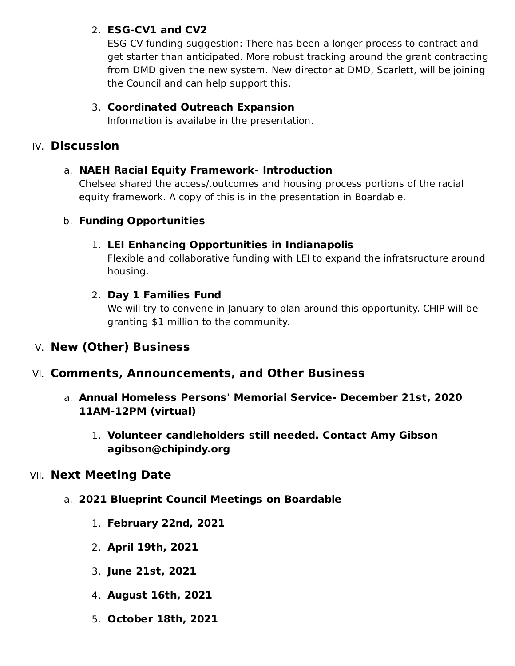### 2. **ESG-CV1 and CV2**

ESG CV funding suggestion: There has been a longer process to contract and get starter than anticipated. More robust tracking around the grant contracting from DMD given the new system. New director at DMD, Scarlett, will be joining the Council and can help support this.

### 3. **Coordinated Outreach Expansion**

Information is availabe in the presentation.

# IV. **Discussion**

### a. **NAEH Racial Equity Framework- Introduction**

Chelsea shared the access/.outcomes and housing process portions of the racial equity framework. A copy of this is in the presentation in Boardable.

### b. **Funding Opportunities**

### 1. **LEI Enhancing Opportunities in Indianapolis**

Flexible and collaborative funding with LEI to expand the infratsructure around housing.

### 2. **Day 1 Families Fund**

We will try to convene in January to plan around this opportunity. CHIP will be granting \$1 million to the community.

# V. **New (Other) Business**

# VI. **Comments, Announcements, and Other Business**

- a. **Annual Homeless Persons' Memorial Service- December 21st, 2020 11AM-12PM (virtual)**
	- 1. **Volunteer candleholders still needed. Contact Amy Gibson agibson@chipindy.org**

# VII. **Next Meeting Date**

- a. **2021 Blueprint Council Meetings on Boardable**
	- 1. **February 22nd, 2021**
	- 2. **April 19th, 2021**
	- 3. **June 21st, 2021**
	- 4. **August 16th, 2021**
	- 5. **October 18th, 2021**